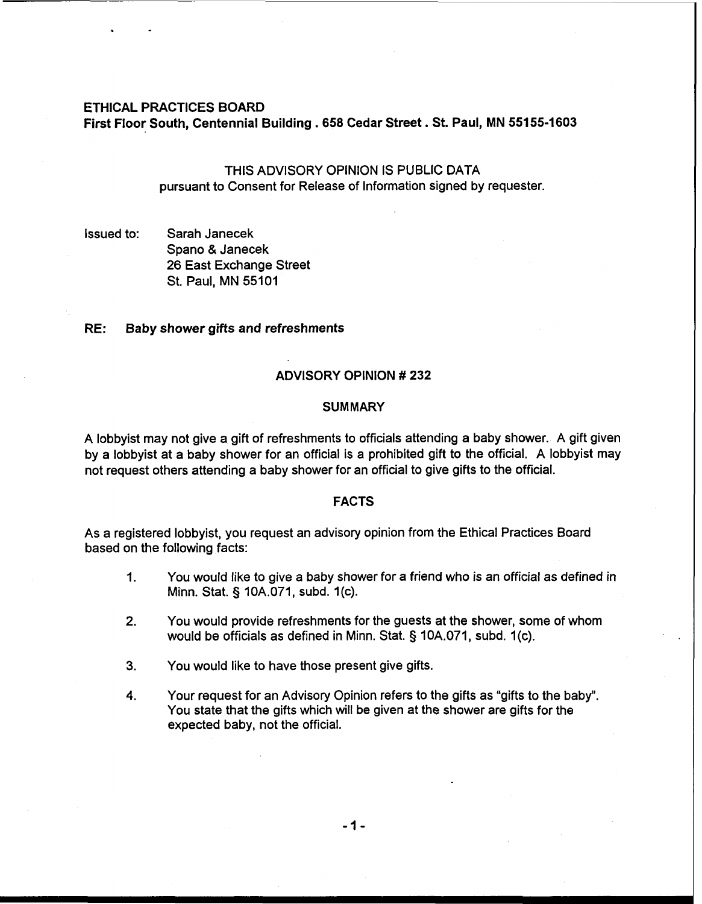### **ETHICAL PRACTICES BOARD**

**First Floor South, Centennial Building** . **658 Cedar Street. St. Paul, MN 55155-1603** 

# THIS ADVISORY OPINION **IS** PUBLIC DATA pursuant to Consent for Release of Information signed by requester

Issued to: Sarah Janecek Spano & Janecek 26 East Exchange Street St. Paul, MN 55101

## **RE: Baby shower gifts and refreshments**

#### **ADVISORY OPINION** # **232**

## **SUMMARY**

A lobbyist may not give a gift of refreshments to officials attending a baby shower. A gift given by a lobbyist at a baby shower for an official is a prohibited gift to the official. A lobbyist may not request others attending a baby shower for an official to give gifts to the official.

### **FACTS**

As a registered lobbyist, you request an advisory opinion from the Ethical Practices Board based on the following facts:

- 1. You would like to give a baby shower for a friend who is an official as defined in Minn. Stat. § 10A.071, subd. 1(c).
- **2.** You would provide refreshments for the guests at the shower, some of whom would be officials as defined in Minn. Stat. § 10A.071, subd. 1(c).
- **3.** You would like to have those present give gifts.
- **4.** Your request for an Advisory Opinion refers to the gifts as "gifts to the baby". You state that the gifts which will be given at the shower are gifts for the expected baby, not the official.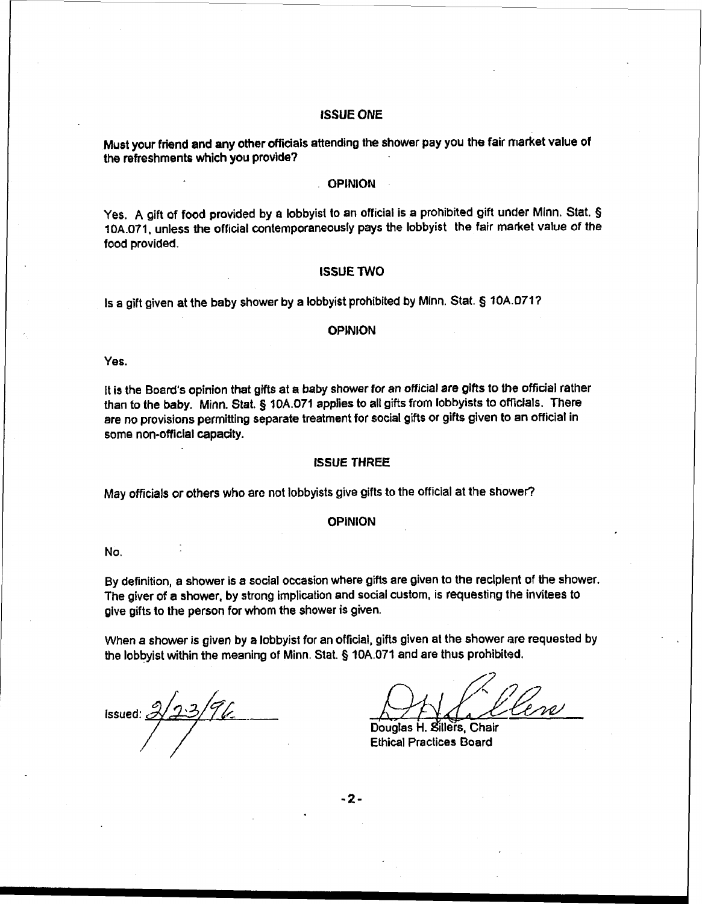#### **ISSUE ONE**

Must your friend and any other **afficials** attending **the** shower pay you the fair market value of **the** refreshments which you provide'?

### **OPINION**

**Yes.** A gift of food provided by a lobbyist to an official is a prohibited gift under Minn. Stat. **5 10A.071,** unless **the** official contemporaneously pays **the** lobbyist the fair market value of the food provided.

#### **ISSUE TWO**

Is a gift given at the baby shower by a lobbyist prohibited by Minn. Stat. **5 10A.0717** 

#### **OPINION**

Yes.

It is the Board's opinion that gifts at a baby shower for an official are **gifts** to the official rather than to the baby. Minn. Stat. **5** 10A.071 applies to all gifts from lobbyists to oflicials. There are no provisions permitting separate treatment for social gifts or gifts given to **an** official in some non-official capacity.

### **ISSUE THREE**

May officials or others who are not lobbyists give gifts to the official at the shower?

#### **OPINION**

No.

By definition, a **shower** is a social occasion where gifls are given to the reclplent of the **shower.**  The giver of a shower, by strong implication and social custom, is requesting the invitees to give gifts to the person for whom the shower is given.

When a shower is given by a lobbyist for an official, gifls given at the shower are requested by the lobbyist within the meaning of Minn. Stat. **5** 10A.071 and are thus prohibited.

issued:  $\mathbb{Z}$ 

Douglas H. Sillers, Chair **Ethical Practices Board** 

 $-2-$